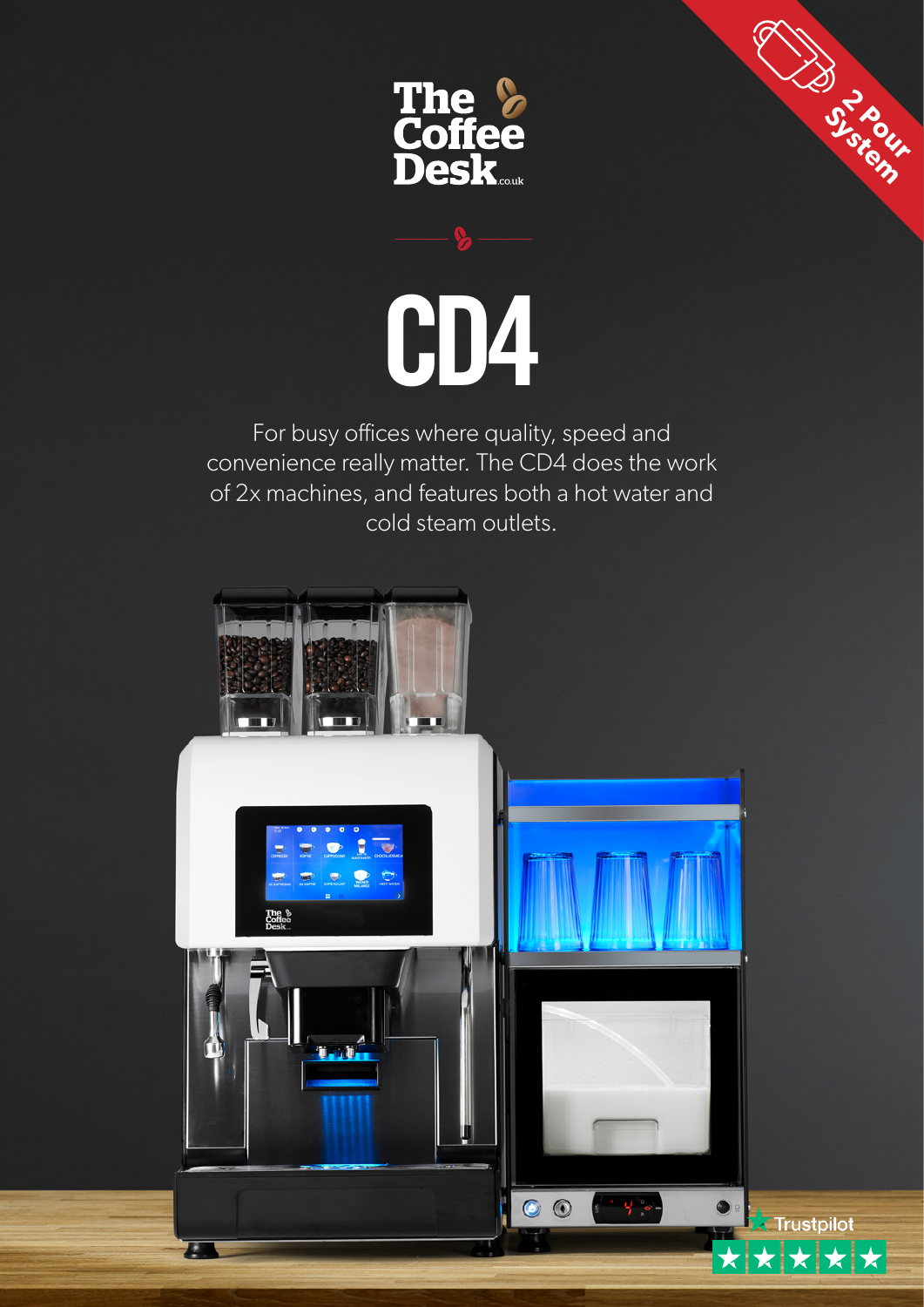

**2 Pour** System



For busy offices where quality, speed and convenience really matter. The CD4 does the work of 2x machines, and features both a hot water and cold steam outlets.

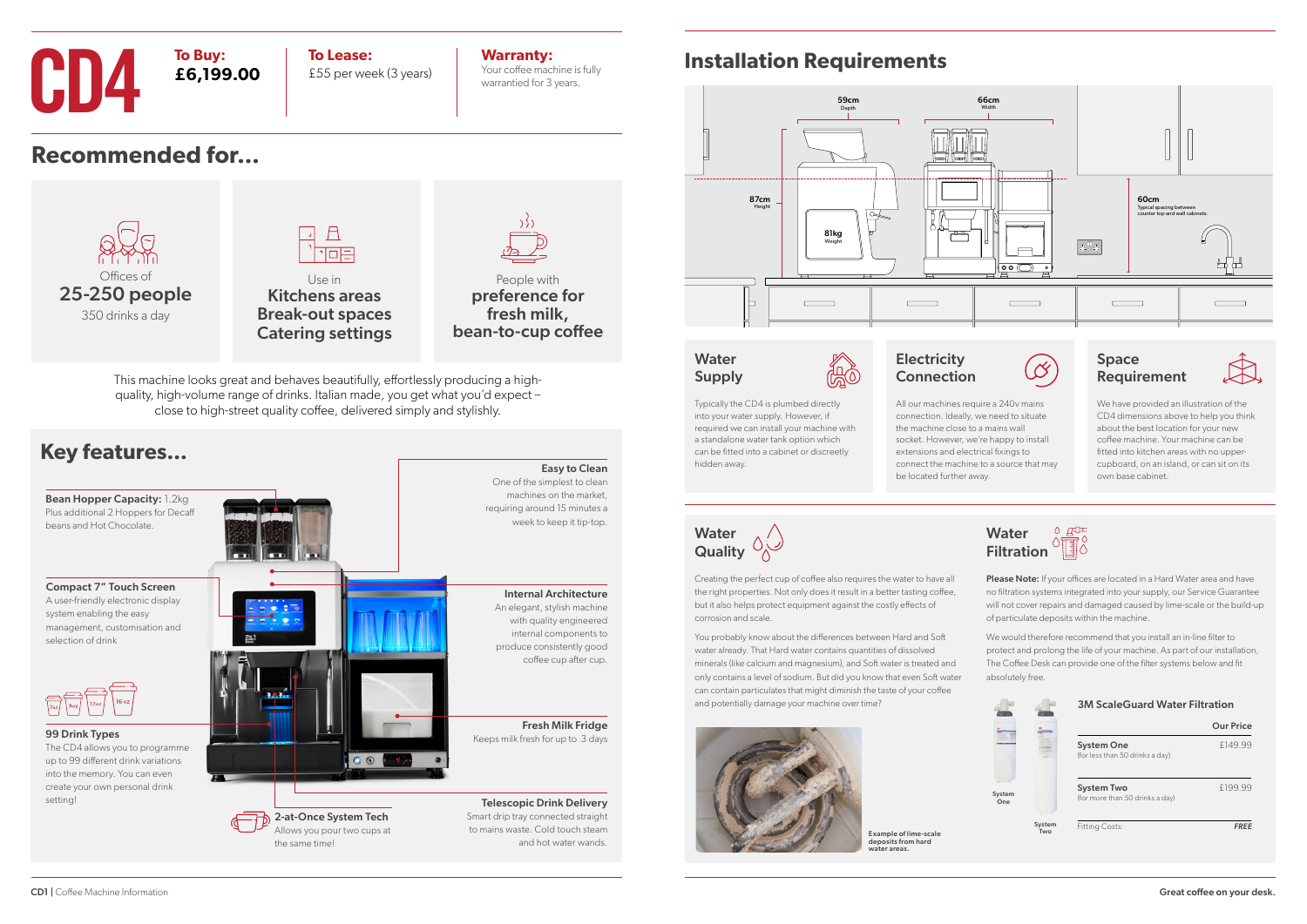**Recommended for...**

### **Installation Requirements**





Kitchens areas Break-out spaces Catering settings

People with preference for fresh milk,

bean-to-cup coffee



### **CD4 To Buy:**<br>**E6,199.00 E5**5 per wee **To Buy: £6,199.00**

### **Water** Supply



Water **Quality** 



CD1 | Coffee Machine Information



This machine looks great and behaves beautifully, effortlessly producing a highquality, high-volume range of drinks. Italian made, you get what you'd expect – close to high-street quality coffee, delivered simply and stylishly.

> Please Note: If your offices are located in a Hard Water area and have no filtration systems integrated into your supply, our Service Guarantee will not cover repairs and damaged caused by lime-scale or the build-up of particulate deposits within the machine.



£55 per week (3 years)

**Warranty:** Your coffee machine is fully warrantied for 3 years.

> **Electricity** Connection

Typically the CD4 is plumbed directly into your water supply. However, if required we can install your machine with a standalone water tank option which can be fitted into a cabinet or discreetly hidden away.

We have provided an illustration of the CD4 dimensions above to help you think about the best location for your new coffee machine. Your machine can be fitted into kitchen areas with no uppercupboard, on an island, or can sit on its own base cabinet.

Creating the perfect cup of coffee also requires the water to have all the right properties. Not only does it result in a better tasting coffee, but it also helps protect equipment against the costly effects of corrosion and scale.

You probably know about the differences between Hard and Soft water already. That Hard water contains quantities of dissolved minerals (like calcium and magnesium), and Soft water is treated and only contains a level of sodium. But did you know that even Soft water can contain particulates that might diminish the taste of your coffee and potentially damage your machine over time?





 $\sqrt{2}$ 

We would therefore recommend that you install an in-line filter to protect and prolong the life of your machine. As part of our installation, The Coffee Desk can provide one of the filter systems below and fit absolutely free.

3M ScaleGuard Water Filtration

|               |               | .                                                    |                  |
|---------------|---------------|------------------------------------------------------|------------------|
|               |               |                                                      | <b>Our Price</b> |
|               |               | <b>System One</b><br>(for less than 50 drinks a day) | £149.99          |
| System<br>One |               | <b>System Two</b><br>(for more than 50 drinks a day) | £199.99          |
|               | System<br>Two | <b>Fitting Costs:</b>                                | <b>FREE</b>      |

All our machines require a 240v mains connection. Ideally, we need to situate the machine close to a mains wall socket. However, we're happy to install extensions and electrical fixings to

connect the machine to a source that may be located further away.





Example of lime-scale deposits from hard water areas.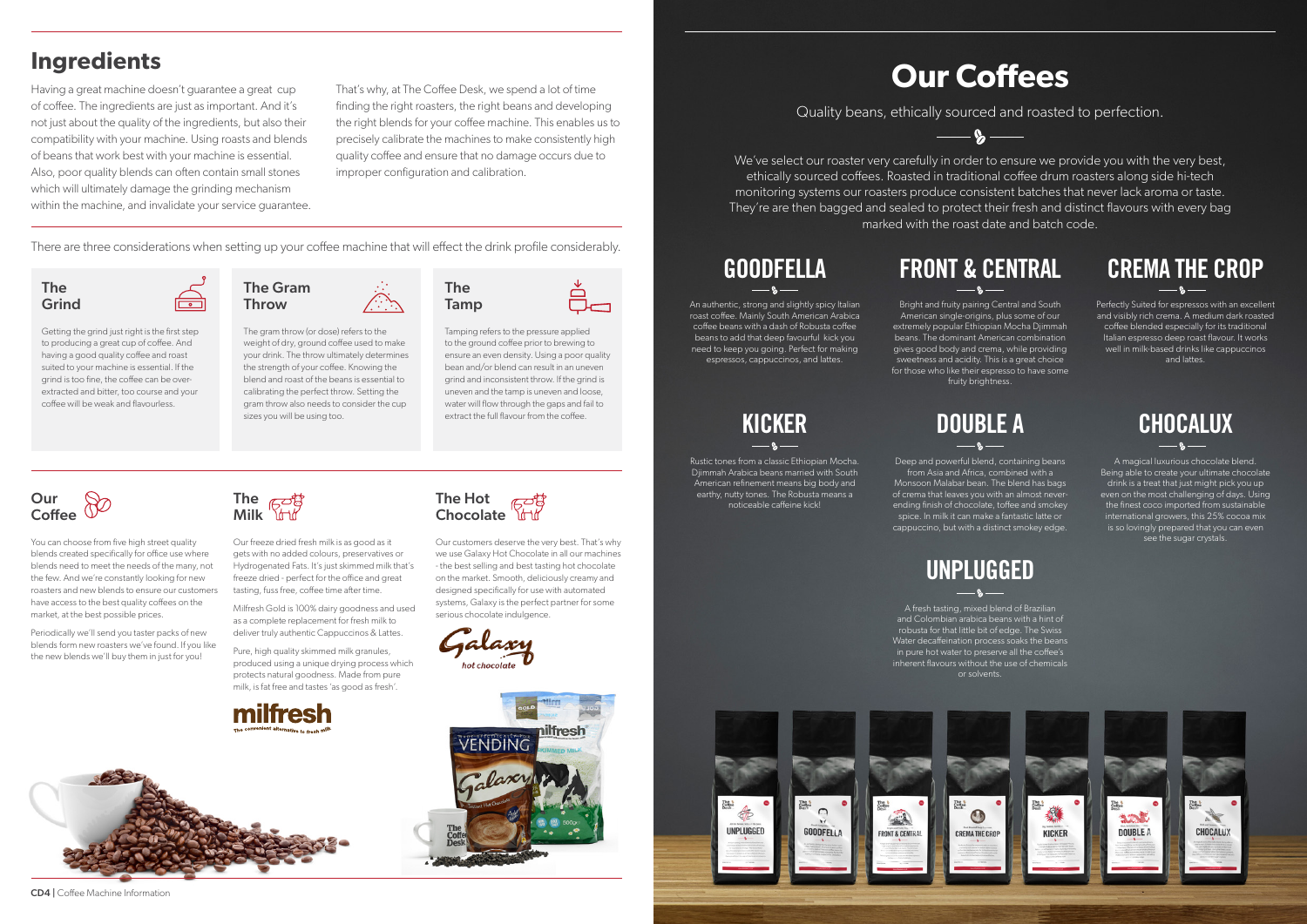We've select our roaster very carefully in order to ensure we provide you with the very best, ethically sourced coffees. Roasted in traditional coffee drum roasters along side hi-tech monitoring systems our roasters produce consistent batches that never lack aroma or taste. They're are then bagged and sealed to protect their fresh and distinct flavours with every bag marked with the roast date and batch code.

# **Our Coffees**

Quality beans, ethically sourced and roasted to perfection.

 $\mathbf{Q}$ 

Perfectly Suited for espressos with an excellent and visibly rich crema. A medium dark roasted coffee blended especially for its traditional Italian espresso deep roast flavour. It works well in milk-based drinks like cappuccinos and lattes.

# **CREMA THE CROP**

Bright and fruity pairing Central and South American single-origins, plus some of our extremely popular Ethiopian Mocha Djimmah beans. The dominant American combination gives good body and crema, while providing sweetness and acidity. This is a great choice for those who like their espresso to have some fruity brightness.

> A magical luxurious chocolate blend. Being able to create your ultimate chocolate drink is a treat that just might pick you up even on the most challenging of days. Using the finest coco imported from sustainable international growers, this 25% cocoa mix is so lovingly prepared that you can even see the sugar crystals.

An authentic, strong and slightly spicy Italian roast coffee. Mainly South American Arabica coffee beans with a dash of Robusta coffee beans to add that deep favourful kick you need to keep you going. Perfect for making espressos, cappuccinos, and lattes.

## **GOODFELLA**

Rustic tones from a classic Ethiopian Mocha. Djimmah Arabica beans married with South American refinement means big body and earthy, nutty tones. The Robusta means a noticeable caffeine kick!

# **FRONT & CENTRAL**

A fresh tasting, mixed blend of Brazilian and Colombian arabica beans with a hint of robusta for that little bit of edge. The Swiss Water decaffeination process soaks the beans in pure hot water to preserve all the coffee's inherent flavours without the use of chemicals or solvents.



### Our Coffee

## **KICKER**

# **UNPLUGGED**

Deep and powerful blend, containing beans

from Asia and Africa, combined with a Monsoon Malabar bean. The blend has bags of crema that leaves you with an almost neverending finish of chocolate, toffee and smokey spice. In milk it can make a fantastic latte or cappuccino, but with a distinct smokey edge.

## **DOUBLE A**

The Hot **Chocolate** 





The gram throw (or dose) refers to the weight of dry, ground coffee used to make your drink. The throw ultimately determines the strength of your coffee. Knowing the blend and roast of the beans is essential to calibrating the perfect throw. Setting the gram throw also needs to consider the cup sizes you will be using too.

#### The Grind

Getting the grind just right is the first step to producing a great cup of coffee. And having a good quality coffee and roast suited to your machine is essential. If the grind is too fine, the coffee can be overextracted and bitter, too course and your coffee will be weak and flavourless.

The

Tamp

Tamping refers to the pressure applied to the ground coffee prior to brewing to ensure an even density. Using a poor quality bean and/or blend can result in an uneven grind and inconsistent throw. If the grind is uneven and the tamp is uneven and loose, water will flow through the gaps and fail to extract the full flavour from the coffee.

You can choose from five high street quality blends created specifically for office use where blends need to meet the needs of the many, not the few. And we're constantly looking for new roasters and new blends to ensure our customers have access to the best quality coffees on the market, at the best possible prices.

Periodically we'll send you taster packs of new blends form new roasters we've found. If you like the new blends we'll buy them in just for you!



Our freeze dried fresh milk is as good as it gets with no added colours, preservatives or Hydrogenated Fats. It's just skimmed milk that's freeze dried - perfect for the office and great tasting, fuss free, coffee time after time.

Milfresh Gold is 100% dairy goodness and used as a complete replacement for fresh milk to deliver truly authentic Cappuccinos & Lattes.

Pure, high quality skimmed milk granules, produced using a unique drying process which protects natural goodness. Made from pure milk, is fat free and tastes 'as good as fresh'.





Our customers deserve the very best. That's why we use Galaxy Hot Chocolate in all our machines - the best selling and best tasting hot chocolate on the market. Smooth, deliciously creamy and designed specifically for use with automated systems, Galaxy is the perfect partner for some serious chocolate indulgence.

ot chocolate



### **Ingredients**

Having a great machine doesn't guarantee a great cup of coffee. The ingredients are just as important. And it's not just about the quality of the ingredients, but also their compatibility with your machine. Using roasts and blends of beans that work best with your machine is essential. Also, poor quality blends can often contain small stones which will ultimately damage the grinding mechanism within the machine, and invalidate your service guarantee. That's why, at The Coffee Desk, we spend a lot of time finding the right roasters, the right beans and developing the right blends for your coffee machine. This enables us to precisely calibrate the machines to make consistently high quality coffee and ensure that no damage occurs due to improper configuration and calibration.

There are three considerations when setting up your coffee machine that will effect the drink profile considerably.